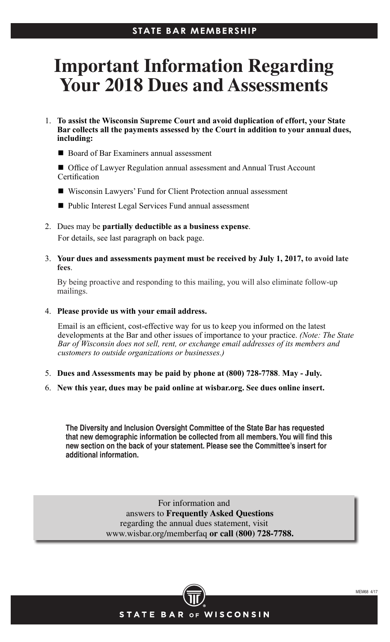## **STATE BAR MEMBERSHIP**

## **Important Information Regarding Your 2018 Dues and Assessments**

- 1. **To assist the Wisconsin Supreme Court and avoid duplication of effort, your State Bar collects all the payments assessed by the Court in addition to your annual dues, including:**
	- Board of Bar Examiners annual assessment
	- Office of Lawyer Regulation annual assessment and Annual Trust Account **Certification**
	- Wisconsin Lawyers' Fund for Client Protection annual assessment
	- Public Interest Legal Services Fund annual assessment
- 2. Dues may be **partially deductible as a business expense**. For details, see last paragraph on back page.
- 3. **Your dues and assessments payment must be received by July 1, 2017, to avoid late fees**.

 By being proactive and responding to this mailing, you will also eliminate follow-up mailings.

4. **Please provide us with your email address.**

Email is an efficient, cost-effective way for us to keep you informed on the latest developments at the Bar and other issues of importance to your practice. *(Note: The State Bar of Wisconsin does not sell, rent, or exchange email addresses of its members and customers to outside organizations or businesses.)*

- 5. **Dues and Assessments may be paid by phone at (800) 728-7788**. **May July.**
- 6. **New this year, dues may be paid online at wisbar.org. See dues online insert.**

**The Diversity and Inclusion Oversight Committee of the State Bar has requested that new demographic information be collected from all members. You will find this new section on the back of your statement. Please see the Committee's insert for additional information.**

> For information and answers to **Frequently Asked Questions** regarding the annual dues statement, visit www.wisbar.org/memberfaq **or call (800) 728-7788.**